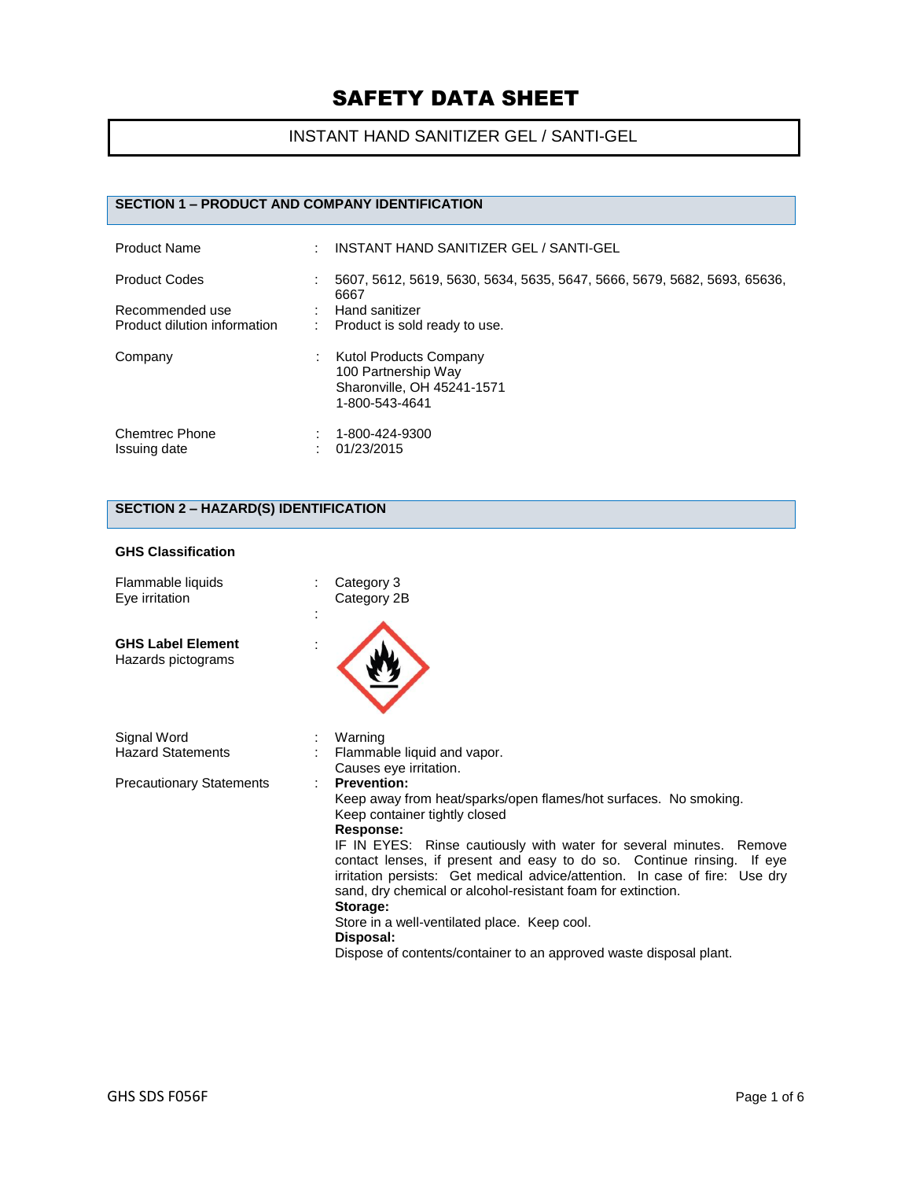# INSTANT HAND SANITIZER GEL / SANTI-GEL

## **SECTION 1 – PRODUCT AND COMPANY IDENTIFICATION**

| <b>Product Name</b>                                                     | INSTANT HAND SANITIZER GEL / SANTI-GEL                                                                                              |
|-------------------------------------------------------------------------|-------------------------------------------------------------------------------------------------------------------------------------|
| <b>Product Codes</b><br>Recommended use<br>Product dilution information | 5607, 5612, 5619, 5630, 5634, 5635, 5647, 5666, 5679, 5682, 5693, 65636,<br>6667<br>Hand sanitizer<br>Product is sold ready to use. |
| Company                                                                 | Kutol Products Company<br>100 Partnership Way<br>Sharonville, OH 45241-1571<br>1-800-543-4641                                       |
| <b>Chemtrec Phone</b><br>Issuing date                                   | 1-800-424-9300<br>01/23/2015                                                                                                        |

# **SECTION 2 – HAZARD(S) IDENTIFICATION**

#### **GHS Classification**

| Flammable liquids<br>Eye irritation            | Category 3<br>Category 2B                                                                                                                                                                                                                                                                                                                                                                                                                                                                                                                                                           |
|------------------------------------------------|-------------------------------------------------------------------------------------------------------------------------------------------------------------------------------------------------------------------------------------------------------------------------------------------------------------------------------------------------------------------------------------------------------------------------------------------------------------------------------------------------------------------------------------------------------------------------------------|
| <b>GHS Label Element</b><br>Hazards pictograms |                                                                                                                                                                                                                                                                                                                                                                                                                                                                                                                                                                                     |
| Signal Word<br><b>Hazard Statements</b>        | Warning<br>Flammable liquid and vapor.<br>Causes eye irritation.                                                                                                                                                                                                                                                                                                                                                                                                                                                                                                                    |
| <b>Precautionary Statements</b>                | <b>Prevention:</b><br>Keep away from heat/sparks/open flames/hot surfaces. No smoking.<br>Keep container tightly closed<br>Response:<br>IF IN EYES: Rinse cautiously with water for several minutes. Remove<br>contact lenses, if present and easy to do so. Continue rinsing. If eye<br>irritation persists: Get medical advice/attention. In case of fire: Use dry<br>sand, dry chemical or alcohol-resistant foam for extinction.<br>Storage:<br>Store in a well-ventilated place. Keep cool.<br>Disposal:<br>Dispose of contents/container to an approved waste disposal plant. |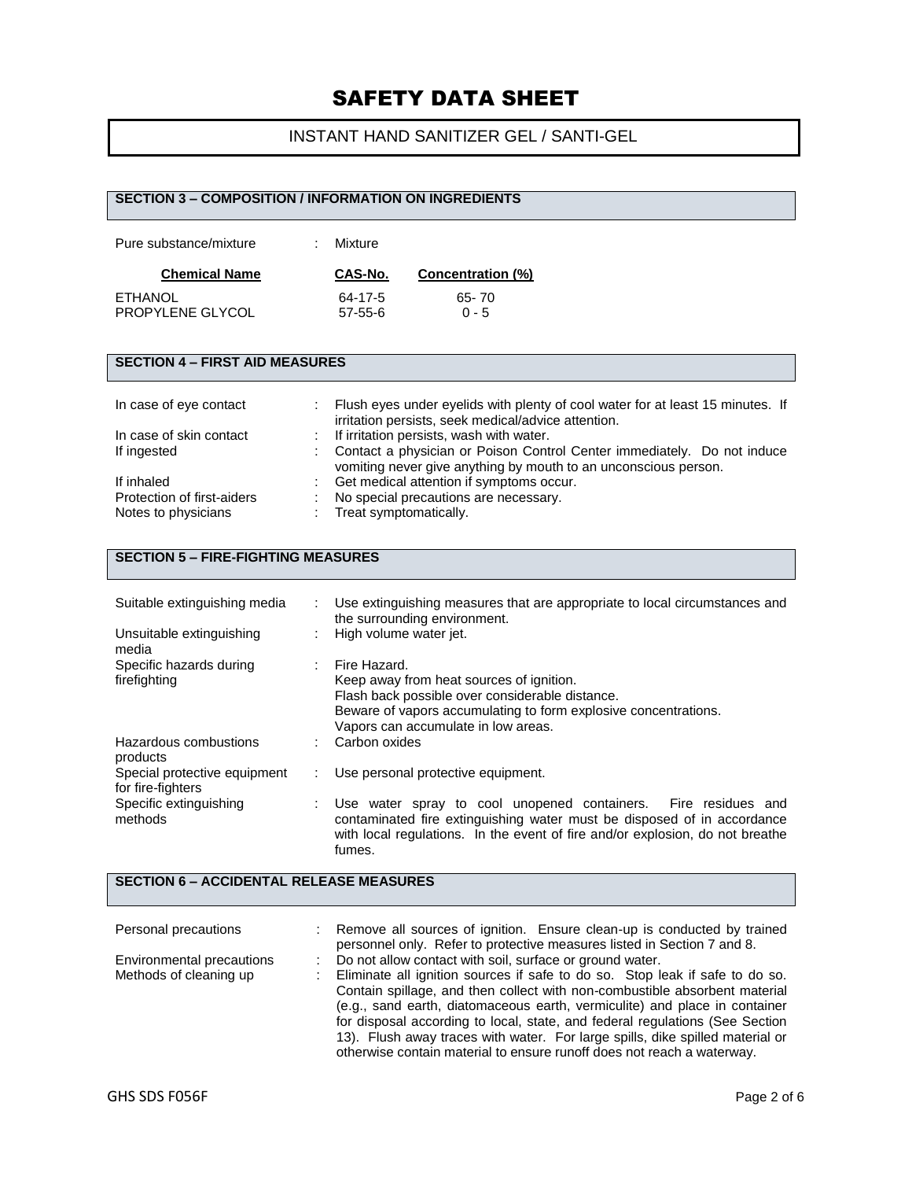# INSTANT HAND SANITIZER GEL / SANTI-GEL

|                                                                 |  | <b>SECTION 3 - COMPOSITION / INFORMATION ON INGREDIENTS</b>                                                                                                                            |
|-----------------------------------------------------------------|--|----------------------------------------------------------------------------------------------------------------------------------------------------------------------------------------|
| Pure substance/mixture                                          |  | Mixture                                                                                                                                                                                |
| <b>Chemical Name</b>                                            |  | <b>Concentration (%)</b><br>CAS-No.                                                                                                                                                    |
| <b>ETHANOL</b><br>PROPYLENE GLYCOL                              |  | $65 - 70$<br>$64 - 17 - 5$<br>$0 - 5$<br>$57 - 55 - 6$                                                                                                                                 |
| <b>SECTION 4 - FIRST AID MEASURES</b>                           |  |                                                                                                                                                                                        |
| In case of eye contact                                          |  | Flush eyes under eyelids with plenty of cool water for at least 15 minutes. If<br>irritation persists, seek medical/advice attention.                                                  |
| In case of skin contact<br>If ingested                          |  | If irritation persists, wash with water.<br>Contact a physician or Poison Control Center immediately. Do not induce<br>vomiting never give anything by mouth to an unconscious person. |
| If inhaled<br>Protection of first-aiders<br>Notes to physicians |  | Get medical attention if symptoms occur.<br>No special precautions are necessary.<br>Treat symptomatically.                                                                            |
| <b>SECTION 5 - FIRE-FIGHTING MEASURES</b>                       |  |                                                                                                                                                                                        |
| Suitable extinguishing media                                    |  | Use extinguishing measures that are appropriate to local circumstances and                                                                                                             |

| Unsuitable extinguishing<br>media                 | ٠  | the surrounding environment.<br>High volume water jet.                                                                                                                                                                     |
|---------------------------------------------------|----|----------------------------------------------------------------------------------------------------------------------------------------------------------------------------------------------------------------------------|
| Specific hazards during<br>firefighting           | ÷  | Fire Hazard.<br>Keep away from heat sources of ignition.<br>Flash back possible over considerable distance.<br>Beware of vapors accumulating to form explosive concentrations.<br>Vapors can accumulate in low areas.      |
| Hazardous combustions<br>products                 |    | Carbon oxides                                                                                                                                                                                                              |
| Special protective equipment<br>for fire-fighters | ÷. | Use personal protective equipment.                                                                                                                                                                                         |
| Specific extinguishing<br>methods                 | ٠  | Use water spray to cool unopened containers. Fire residues and<br>contaminated fire extinguishing water must be disposed of in accordance<br>with local regulations. In the event of fire and/or explosion, do not breathe |

## **SECTION 6 – ACCIDENTAL RELEASE MEASURES**

fumes.

| Personal precautions      | Remove all sources of ignition. Ensure clean-up is conducted by trained       |
|---------------------------|-------------------------------------------------------------------------------|
|                           | personnel only. Refer to protective measures listed in Section 7 and 8.       |
| Environmental precautions | Do not allow contact with soil, surface or ground water.                      |
| Methods of cleaning up    | Eliminate all ignition sources if safe to do so. Stop leak if safe to do so.  |
|                           | Contain spillage, and then collect with non-combustible absorbent material    |
|                           | (e.g., sand earth, diatomaceous earth, vermiculite) and place in container    |
|                           | for disposal according to local, state, and federal regulations (See Section  |
|                           | 13). Flush away traces with water. For large spills, dike spilled material or |
|                           | otherwise contain material to ensure runoff does not reach a waterway.        |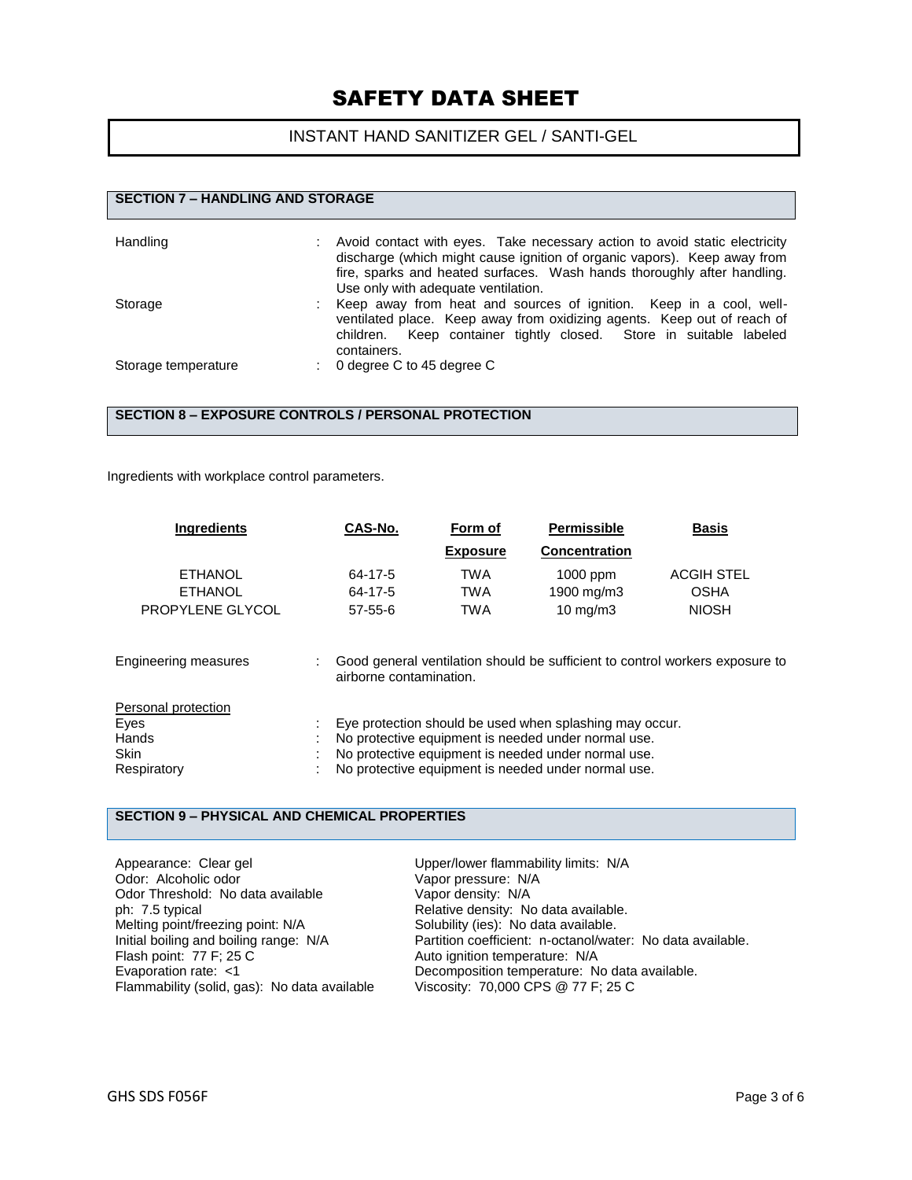### INSTANT HAND SANITIZER GEL / SANTI-GEL

## **SECTION 7 – HANDLING AND STORAGE** Handling **Example 20 Find 20** : Avoid contact with eyes. Take necessary action to avoid static electricity discharge (which might cause ignition of organic vapors). Keep away from fire, sparks and heated surfaces. Wash hands thoroughly after handling. Use only with adequate ventilation. Storage **in the storage in the storage in the storage** in a cool, wellventilated place. Keep away from oxidizing agents. Keep out of reach of children. Keep container tightly closed. Store in suitable labeled containers. Storage temperature : 0 degree C to 45 degree C

#### **SECTION 8 – EXPOSURE CONTROLS / PERSONAL PROTECTION**

Ingredients with workplace control parameters.

| <b>Ingredients</b>                                          | CAS-No.                             | Form of                         | <b>Permissible</b>                                                                                                                                                                                                           | <b>Basis</b>                                                                 |
|-------------------------------------------------------------|-------------------------------------|---------------------------------|------------------------------------------------------------------------------------------------------------------------------------------------------------------------------------------------------------------------------|------------------------------------------------------------------------------|
|                                                             |                                     | <b>Exposure</b>                 | <b>Concentration</b>                                                                                                                                                                                                         |                                                                              |
| <b>ETHANOL</b><br><b>ETHANOL</b><br>PROPYLENE GLYCOL        | 64-17-5<br>64-17-5<br>$57 - 55 - 6$ | TWA<br><b>TWA</b><br><b>TWA</b> | 1000 ppm<br>1900 mg/m3<br>$10 \text{ mg/m}$                                                                                                                                                                                  | <b>ACGIH STEL</b><br><b>OSHA</b><br><b>NIOSH</b>                             |
| <b>Engineering measures</b>                                 | airborne contamination.             |                                 |                                                                                                                                                                                                                              | Good general ventilation should be sufficient to control workers exposure to |
| Personal protection<br>Eyes<br>Hands<br>Skin<br>Respiratory |                                     |                                 | Eye protection should be used when splashing may occur.<br>No protective equipment is needed under normal use.<br>No protective equipment is needed under normal use.<br>No protective equipment is needed under normal use. |                                                                              |

### **SECTION 9 – PHYSICAL AND CHEMICAL PROPERTIES**

Appearance: Clear gel example and Upper/lower flammability limits: N/A Odor: Alcoholic odor<br>
Odor Threshold: No data available Vapor density: N/A Odor Threshold: No data available ph: 7.5 typical **Phenomical Relative density:** No data available.<br>
Melting point/freezing point: N/A **Relative Solubility (ies):** No data available. Melting point/freezing point: N/A Initial boiling and boiling range: N/A Partition coefficient: n-octanol/water: No data available. Flash point: 77 F; 25 C Auto ignition temperature: N/A Evaporation rate: <1 Decomposition temperature: No data available. Flammability (solid, gas): No data available Viscosity: 70,000 CPS @ 77 F; 25 C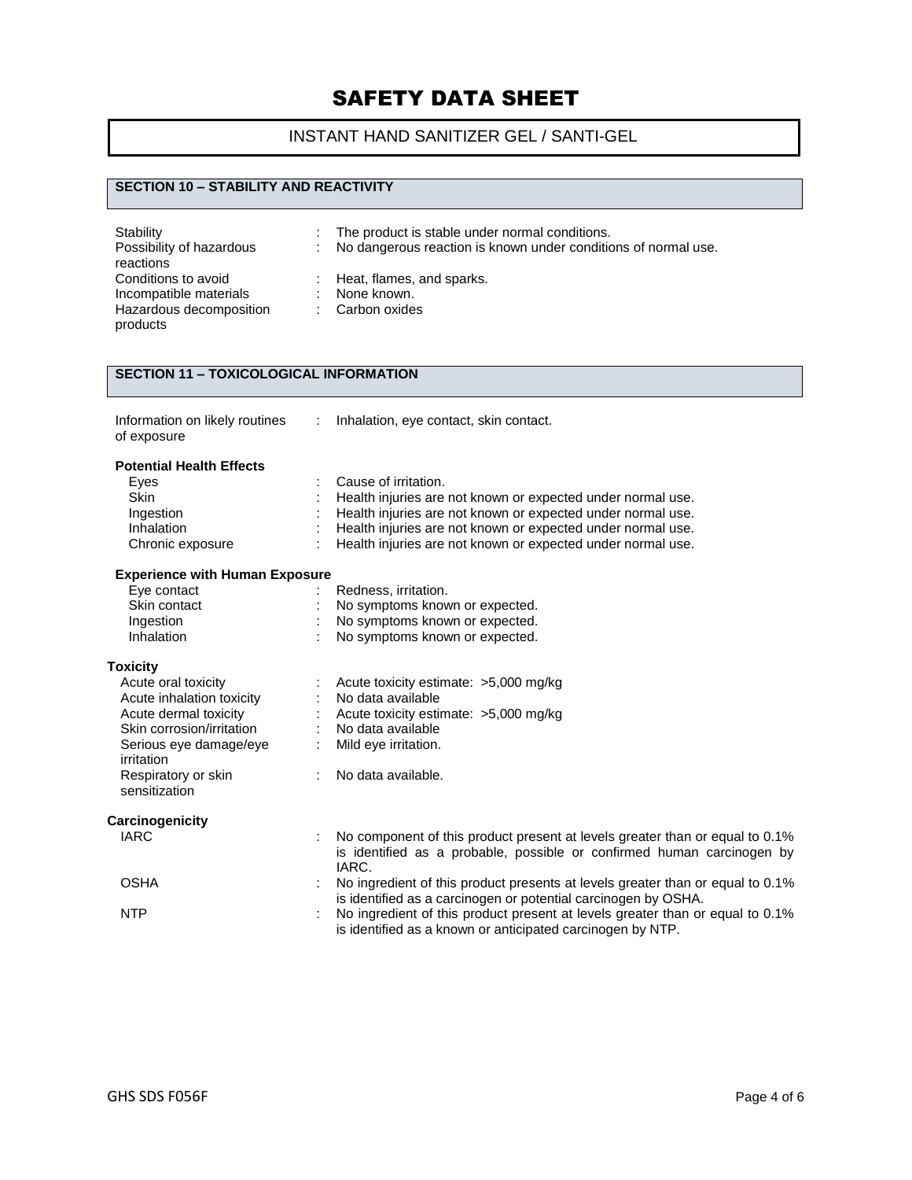# INSTANT HAND SANITIZER GEL / SANTI-GEL

### **SECTION 10 – STABILITY AND REACTIVITY**

| Stability<br>Possibility of hazardous<br>reactions | t.<br>÷. | The product is stable under normal conditions.<br>No dangerous reaction is known under conditions of normal use. |
|----------------------------------------------------|----------|------------------------------------------------------------------------------------------------------------------|
| Conditions to avoid                                |          | : Heat, flames, and sparks.                                                                                      |
| Incompatible materials                             |          | None known.                                                                                                      |
| Hazardous decomposition<br>products                |          | : Carbon oxides                                                                                                  |

## **SECTION 11 – TOXICOLOGICAL INFORMATION**

| Information on likely routines |  |
|--------------------------------|--|
| of exposure                    |  |

: Inhalation, eye contact, skin contact.

### **Potential Health Effects**

| Eyes                                  | Cause of irritation.                                                                                                                        |
|---------------------------------------|---------------------------------------------------------------------------------------------------------------------------------------------|
| <b>Skin</b>                           | Health injuries are not known or expected under normal use.                                                                                 |
| Ingestion                             | Health injuries are not known or expected under normal use.                                                                                 |
| Inhalation                            | Health injuries are not known or expected under normal use.                                                                                 |
| Chronic exposure                      | Health injuries are not known or expected under normal use.                                                                                 |
| <b>Experience with Human Exposure</b> |                                                                                                                                             |
| Eye contact                           | Redness, irritation.                                                                                                                        |
| Skin contact                          | No symptoms known or expected.                                                                                                              |
| Ingestion                             | No symptoms known or expected.                                                                                                              |
| Inhalation                            | No symptoms known or expected.                                                                                                              |
| <b>Toxicity</b>                       |                                                                                                                                             |
| Acute oral toxicity                   | Acute toxicity estimate: >5,000 mg/kg                                                                                                       |
| Acute inhalation toxicity             | No data available                                                                                                                           |
| Acute dermal toxicity                 | Acute toxicity estimate: >5,000 mg/kg                                                                                                       |
| Skin corrosion/irritation             | No data available                                                                                                                           |
| Serious eye damage/eye<br>irritation  | Mild eye irritation.                                                                                                                        |
| Respiratory or skin<br>sensitization  | No data available.                                                                                                                          |
| Carcinogenicity                       |                                                                                                                                             |
| <b>IARC</b>                           | No component of this product present at levels greater than or equal to 0.1%                                                                |
|                                       | is identified as a probable, possible or confirmed human carcinogen by<br>IARC.                                                             |
| <b>OSHA</b>                           | No ingredient of this product presents at levels greater than or equal to 0.1%                                                              |
|                                       | is identified as a carcinogen or potential carcinogen by OSHA.                                                                              |
| <b>NTP</b>                            | No ingredient of this product present at levels greater than or equal to 0.1%<br>is identified as a known or anticipated carcinogen by NTP. |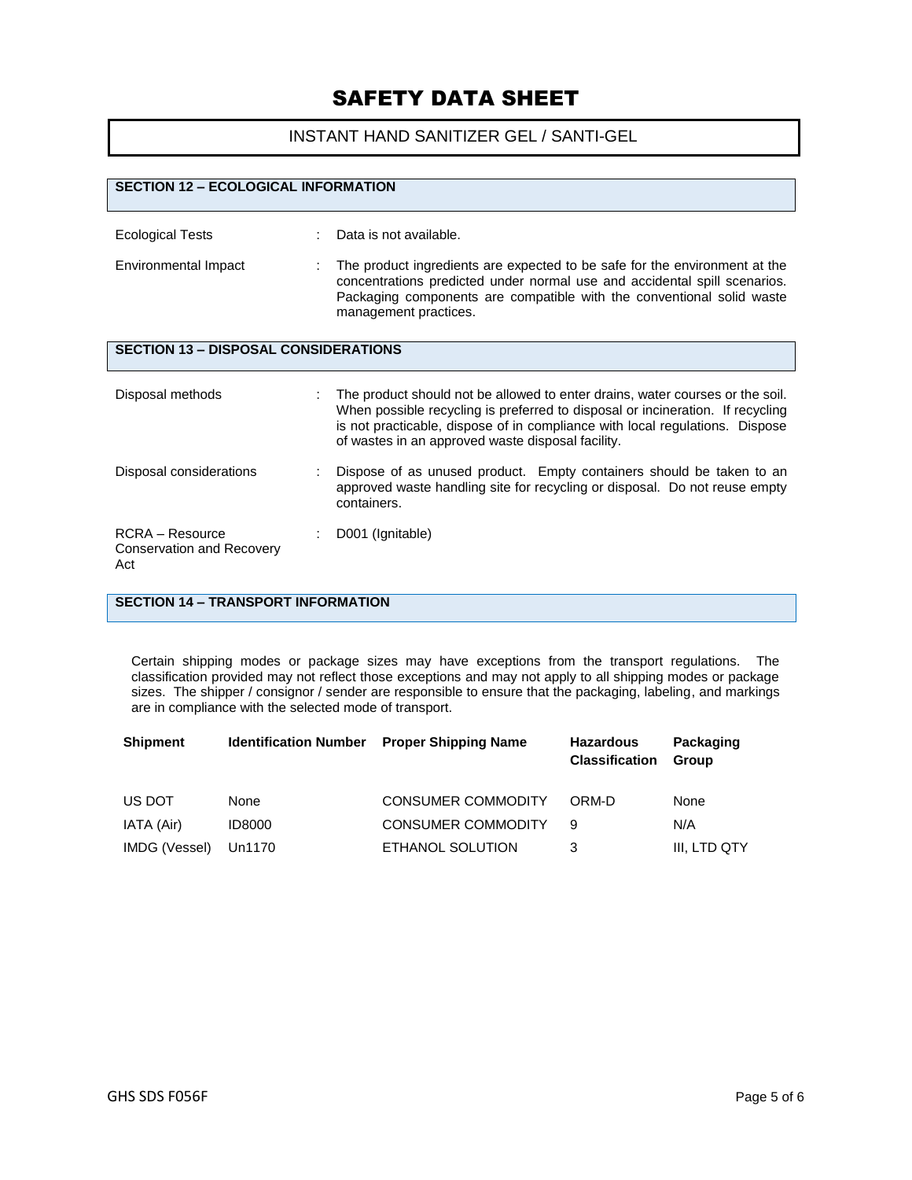## INSTANT HAND SANITIZER GEL / SANTI-GEL

| <b>SECTION 12 - ECOLOGICAL INFORMATION</b>                   |  |                                                                                                                                                                                                                                                                                                      |
|--------------------------------------------------------------|--|------------------------------------------------------------------------------------------------------------------------------------------------------------------------------------------------------------------------------------------------------------------------------------------------------|
|                                                              |  |                                                                                                                                                                                                                                                                                                      |
| <b>Ecological Tests</b>                                      |  | Data is not available.                                                                                                                                                                                                                                                                               |
| Environmental Impact                                         |  | The product ingredients are expected to be safe for the environment at the<br>concentrations predicted under normal use and accidental spill scenarios.<br>Packaging components are compatible with the conventional solid waste<br>management practices.                                            |
| <b>SECTION 13 - DISPOSAL CONSIDERATIONS</b>                  |  |                                                                                                                                                                                                                                                                                                      |
| Disposal methods                                             |  | The product should not be allowed to enter drains, water courses or the soil.<br>When possible recycling is preferred to disposal or incineration. If recycling<br>is not practicable, dispose of in compliance with local regulations. Dispose<br>of wastes in an approved waste disposal facility. |
| Disposal considerations                                      |  | Dispose of as unused product. Empty containers should be taken to an<br>approved waste handling site for recycling or disposal. Do not reuse empty<br>containers.                                                                                                                                    |
| $RCRA - Resource$<br><b>Conservation and Recovery</b><br>Act |  | D001 (Ignitable)                                                                                                                                                                                                                                                                                     |

## **SECTION 14 – TRANSPORT INFORMATION**

Certain shipping modes or package sizes may have exceptions from the transport regulations. The classification provided may not reflect those exceptions and may not apply to all shipping modes or package sizes. The shipper / consignor / sender are responsible to ensure that the packaging, labeling, and markings are in compliance with the selected mode of transport.

| <b>Shipment</b> | <b>Identification Number</b> | <b>Proper Shipping Name</b> | <b>Hazardous</b><br><b>Classification</b> | Packaging<br><b>Group</b> |
|-----------------|------------------------------|-----------------------------|-------------------------------------------|---------------------------|
| US DOT          | None                         | <b>CONSUMER COMMODITY</b>   | ORM-D                                     | None                      |
| IATA (Air)      | <b>ID8000</b>                | <b>CONSUMER COMMODITY</b>   | 9                                         | N/A                       |
| IMDG (Vessel)   | Un1170                       | ETHANOL SOLUTION            | 3                                         | III. LTD QTY              |